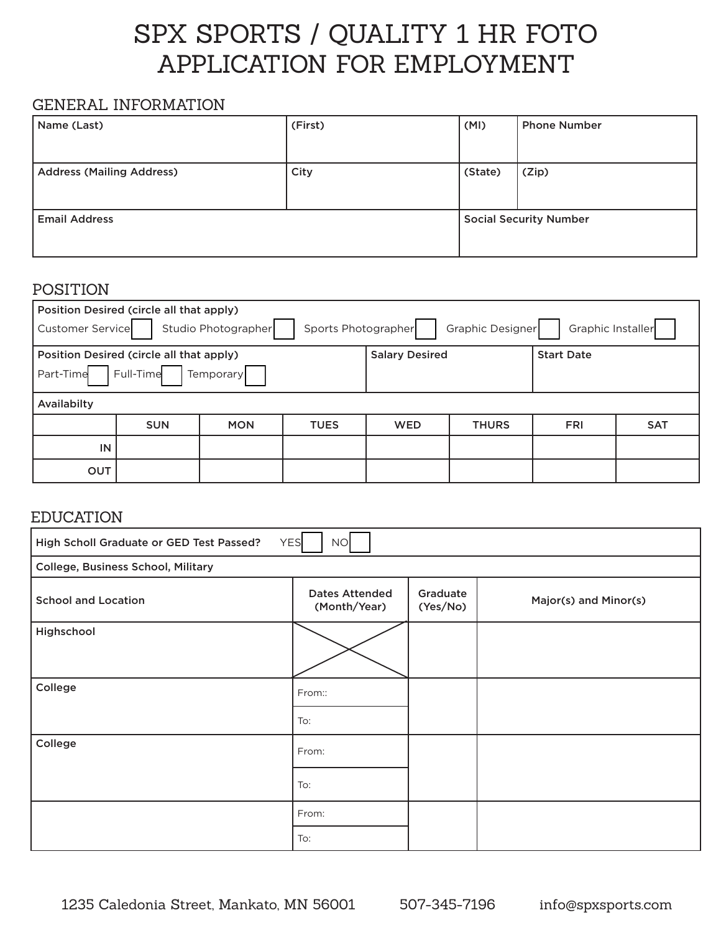# SPX SPORTS / QUALITY 1 HR FOTO APPLICATION FOR EMPLOYMENT

## GENERAL INFORMATION

| Name (Last)                      | (First) | (MI)                          | <b>Phone Number</b> |
|----------------------------------|---------|-------------------------------|---------------------|
|                                  |         |                               |                     |
| <b>Address (Mailing Address)</b> | City    | (State)                       | (Zip)               |
|                                  |         |                               |                     |
| <b>Email Address</b>             |         | <b>Social Security Number</b> |                     |
|                                  |         |                               |                     |

### POSITION

| Position Desired (circle all that apply)<br>Graphic Designer<br>Graphic Installer<br>Customer Service<br>Studio Photographer<br>Sports Photographer |            |            |             |            |              |            |            |
|-----------------------------------------------------------------------------------------------------------------------------------------------------|------------|------------|-------------|------------|--------------|------------|------------|
| <b>Salary Desired</b><br>Position Desired (circle all that apply)<br><b>Start Date</b><br>Full-Time<br>Part-Time<br>Temporary                       |            |            |             |            |              |            |            |
| Availabilty                                                                                                                                         |            |            |             |            |              |            |            |
|                                                                                                                                                     | <b>SUN</b> | <b>MON</b> | <b>TUES</b> | <b>WED</b> | <b>THURS</b> | <b>FRI</b> | <b>SAT</b> |
| IN                                                                                                                                                  |            |            |             |            |              |            |            |
| OUT                                                                                                                                                 |            |            |             |            |              |            |            |

## EDUCATION

| High Scholl Graduate or GED Test Passed?<br><b>YES</b><br>NO |                                       |                      |                       |  |  |
|--------------------------------------------------------------|---------------------------------------|----------------------|-----------------------|--|--|
| College, Business School, Military                           |                                       |                      |                       |  |  |
| <b>School and Location</b>                                   | <b>Dates Attended</b><br>(Month/Year) | Graduate<br>(Yes/No) | Major(s) and Minor(s) |  |  |
| Highschool                                                   |                                       |                      |                       |  |  |
| College                                                      |                                       |                      |                       |  |  |
|                                                              | From::                                |                      |                       |  |  |
|                                                              | To:                                   |                      |                       |  |  |
| College                                                      | From:                                 |                      |                       |  |  |
|                                                              | To:                                   |                      |                       |  |  |
|                                                              | From:                                 |                      |                       |  |  |
|                                                              | To:                                   |                      |                       |  |  |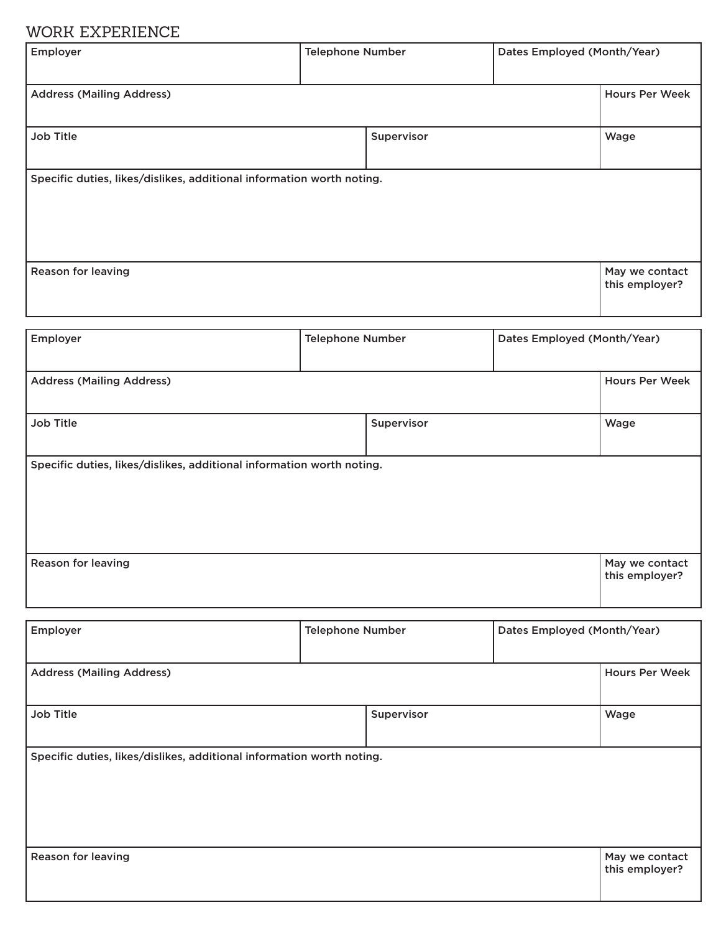# WORK EXPERIENCE

| Employer                                                              | <b>Telephone Number</b> |            | Dates Employed (Month/Year) |                                  |
|-----------------------------------------------------------------------|-------------------------|------------|-----------------------------|----------------------------------|
| <b>Address (Mailing Address)</b>                                      |                         |            |                             | <b>Hours Per Week</b>            |
| Job Title                                                             |                         | Supervisor |                             | Wage                             |
| Specific duties, likes/dislikes, additional information worth noting. |                         |            |                             |                                  |
| <b>Reason for leaving</b>                                             |                         |            |                             | May we contact<br>this employer? |

| Employer                                                              | <b>Telephone Number</b> |            | Dates Employed (Month/Year) |                                  |
|-----------------------------------------------------------------------|-------------------------|------------|-----------------------------|----------------------------------|
| <b>Address (Mailing Address)</b>                                      |                         |            |                             | <b>Hours Per Week</b>            |
|                                                                       |                         |            |                             |                                  |
| <b>Job Title</b>                                                      |                         | Supervisor |                             | Wage                             |
| Specific duties, likes/dislikes, additional information worth noting. |                         |            |                             |                                  |
|                                                                       |                         |            |                             |                                  |
|                                                                       |                         |            |                             |                                  |
|                                                                       |                         |            |                             |                                  |
| <b>Reason for leaving</b>                                             |                         |            |                             | May we contact<br>this employer? |

| Employer                                                              | <b>Telephone Number</b> |            | Dates Employed (Month/Year) |                                  |
|-----------------------------------------------------------------------|-------------------------|------------|-----------------------------|----------------------------------|
|                                                                       |                         |            |                             |                                  |
| <b>Address (Mailing Address)</b>                                      |                         |            |                             | <b>Hours Per Week</b>            |
|                                                                       |                         |            |                             |                                  |
| Job Title                                                             |                         | Supervisor |                             | Wage                             |
|                                                                       |                         |            |                             |                                  |
| Specific duties, likes/dislikes, additional information worth noting. |                         |            |                             |                                  |
|                                                                       |                         |            |                             |                                  |
|                                                                       |                         |            |                             |                                  |
|                                                                       |                         |            |                             |                                  |
|                                                                       |                         |            |                             |                                  |
| <b>Reason for leaving</b>                                             |                         |            |                             | May we contact<br>this employer? |
|                                                                       |                         |            |                             |                                  |